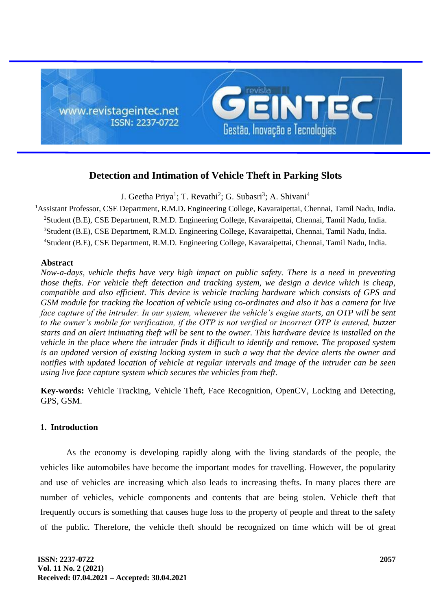

# **Detection and Intimation of Vehicle Theft in Parking Slots**

J. Geetha Priya<sup>1</sup>; T. Revathi<sup>2</sup>; G. Subasri<sup>3</sup>; A. Shivani<sup>4</sup>

<sup>1</sup> Assistant Professor, CSE Department, R.M.D. Engineering College, Kavaraipettai, Chennai, Tamil Nadu, India. Student (B.E), CSE Department, R.M.D. Engineering College, Kavaraipettai, Chennai, Tamil Nadu, India. Student (B.E), CSE Department, R.M.D. Engineering College, Kavaraipettai, Chennai, Tamil Nadu, India. Student (B.E), CSE Department, R.M.D. Engineering College, Kavaraipettai, Chennai, Tamil Nadu, India.

## **Abstract**

*Now-a-days, vehicle thefts have very high impact on public safety. There is a need in preventing those thefts. For vehicle theft detection and tracking system, we design a device which is cheap, compatible and also efficient. This device is vehicle tracking hardware which consists of GPS and GSM module for tracking the location of vehicle using co-ordinates and also it has a camera for live face capture of the intruder. In our system, whenever the vehicle's engine starts, an OTP will be sent to the owner's mobile for verification, if the OTP is not verified or incorrect OTP is entered, buzzer starts and an alert intimating theft will be sent to the owner. This hardware device is installed on the vehicle in the place where the intruder finds it difficult to identify and remove. The proposed system is an updated version of existing locking system in such a way that the device alerts the owner and notifies with updated location of vehicle at regular intervals and image of the intruder can be seen using live face capture system which secures the vehicles from theft.*

**Key-words:** Vehicle Tracking, Vehicle Theft, Face Recognition, OpenCV, Locking and Detecting, GPS, GSM.

## **1. Introduction**

As the economy is developing rapidly along with the living standards of the people, the vehicles like automobiles have become the important modes for travelling. However, the popularity and use of vehicles are increasing which also leads to increasing thefts. In many places there are number of vehicles, vehicle components and contents that are being stolen. Vehicle theft that frequently occurs is something that causes huge loss to the property of people and threat to the safety of the public. Therefore, the vehicle theft should be recognized on time which will be of great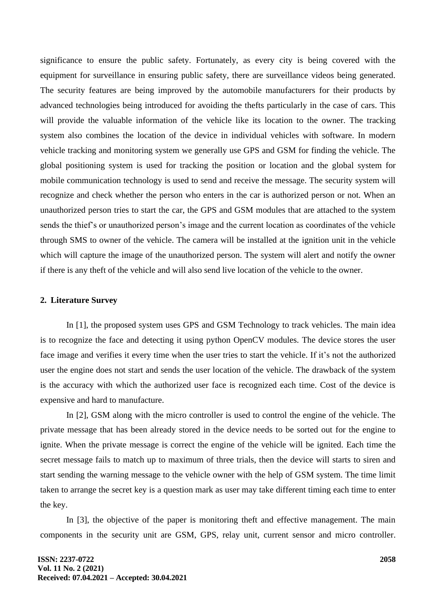significance to ensure the public safety. Fortunately, as every city is being covered with the equipment for surveillance in ensuring public safety, there are surveillance videos being generated. The security features are being improved by the automobile manufacturers for their products by advanced technologies being introduced for avoiding the thefts particularly in the case of cars. This will provide the valuable information of the vehicle like its location to the owner. The tracking system also combines the location of the device in individual vehicles with software. In modern vehicle tracking and monitoring system we generally use GPS and GSM for finding the vehicle. The global positioning system is used for tracking the position or location and the global system for mobile communication technology is used to send and receive the message. The security system will recognize and check whether the person who enters in the car is authorized person or not. When an unauthorized person tries to start the car, the GPS and GSM modules that are attached to the system sends the thief's or unauthorized person's image and the current location as coordinates of the vehicle through SMS to owner of the vehicle. The camera will be installed at the ignition unit in the vehicle which will capture the image of the unauthorized person. The system will alert and notify the owner if there is any theft of the vehicle and will also send live location of the vehicle to the owner.

#### **2. Literature Survey**

In [1], the proposed system uses GPS and GSM Technology to track vehicles. The main idea is to recognize the face and detecting it using python OpenCV modules. The device stores the user face image and verifies it every time when the user tries to start the vehicle. If it's not the authorized user the engine does not start and sends the user location of the vehicle. The drawback of the system is the accuracy with which the authorized user face is recognized each time. Cost of the device is expensive and hard to manufacture.

In [2], GSM along with the micro controller is used to control the engine of the vehicle. The private message that has been already stored in the device needs to be sorted out for the engine to ignite. When the private message is correct the engine of the vehicle will be ignited. Each time the secret message fails to match up to maximum of three trials, then the device will starts to siren and start sending the warning message to the vehicle owner with the help of GSM system. The time limit taken to arrange the secret key is a question mark as user may take different timing each time to enter the key.

In [3], the objective of the paper is monitoring theft and effective management. The main components in the security unit are GSM, GPS, relay unit, current sensor and micro controller.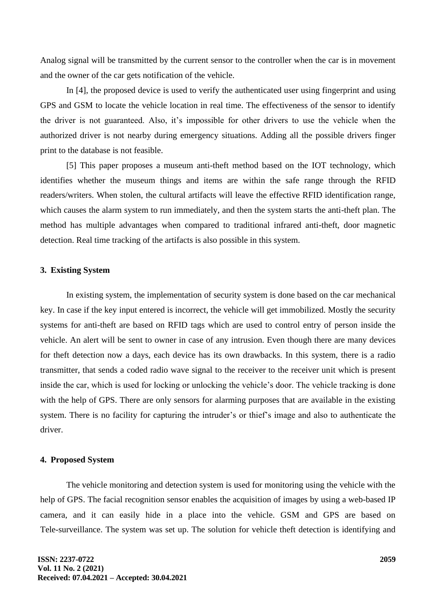Analog signal will be transmitted by the current sensor to the controller when the car is in movement and the owner of the car gets notification of the vehicle.

In [4], the proposed device is used to verify the authenticated user using fingerprint and using GPS and GSM to locate the vehicle location in real time. The effectiveness of the sensor to identify the driver is not guaranteed. Also, it's impossible for other drivers to use the vehicle when the authorized driver is not nearby during emergency situations. Adding all the possible drivers finger print to the database is not feasible.

[5] This paper proposes a museum anti-theft method based on the IOT technology, which identifies whether the museum things and items are within the safe range through the RFID readers/writers. When stolen, the cultural artifacts will leave the effective RFID identification range, which causes the alarm system to run immediately, and then the system starts the anti-theft plan. The method has multiple advantages when compared to traditional infrared anti-theft, door magnetic detection. Real time tracking of the artifacts is also possible in this system.

#### **3. Existing System**

In existing system, the implementation of security system is done based on the car mechanical key. In case if the key input entered is incorrect, the vehicle will get immobilized. Mostly the security systems for anti-theft are based on RFID tags which are used to control entry of person inside the vehicle. An alert will be sent to owner in case of any intrusion. Even though there are many devices for theft detection now a days, each device has its own drawbacks. In this system, there is a radio transmitter, that sends a coded radio wave signal to the receiver to the receiver unit which is present inside the car, which is used for locking or unlocking the vehicle's door. The vehicle tracking is done with the help of GPS. There are only sensors for alarming purposes that are available in the existing system. There is no facility for capturing the intruder's or thief's image and also to authenticate the driver.

#### **4. Proposed System**

The vehicle monitoring and detection system is used for monitoring using the vehicle with the help of GPS. The facial recognition sensor enables the acquisition of images by using a web-based IP camera, and it can easily hide in a place into the vehicle. GSM and GPS are based on Tele-surveillance. The system was set up. The solution for vehicle theft detection is identifying and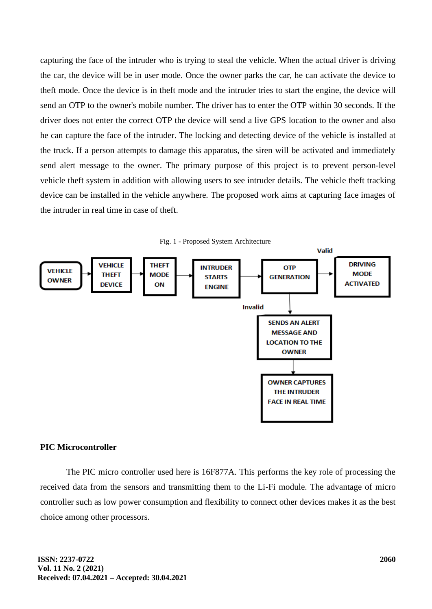capturing the face of the intruder who is trying to steal the vehicle. When the actual driver is driving the car, the device will be in user mode. Once the owner parks the car, he can activate the device to theft mode. Once the device is in theft mode and the intruder tries to start the engine, the device will send an OTP to the owner's mobile number. The driver has to enter the OTP within 30 seconds. If the driver does not enter the correct OTP the device will send a live GPS location to the owner and also he can capture the face of the intruder. The locking and detecting device of the vehicle is installed at the truck. If a person attempts to damage this apparatus, the siren will be activated and immediately send alert message to the owner. The primary purpose of this project is to prevent person-level vehicle theft system in addition with allowing users to see intruder details. The vehicle theft tracking device can be installed in the vehicle anywhere. The proposed work aims at capturing face images of the intruder in real time in case of theft.



## **PIC Microcontroller**

The PIC micro controller used here is 16F877A. This performs the key role of processing the received data from the sensors and transmitting them to the Li-Fi module. The advantage of micro controller such as low power consumption and flexibility to connect other devices makes it as the best choice among other processors.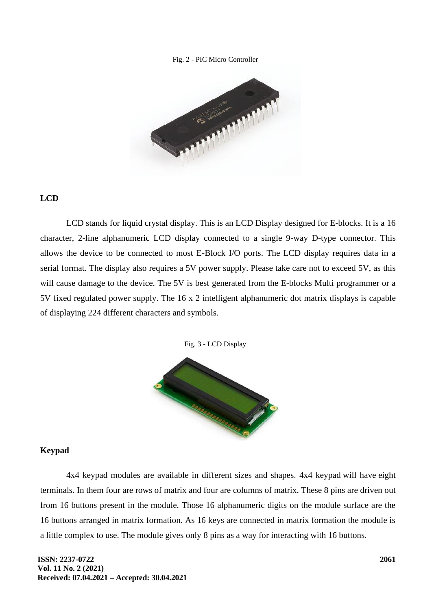#### Fig. 2 - PIC Micro Controller



## **LCD**

LCD stands for liquid crystal display. This is an LCD Display designed for E-blocks. It is a 16 character, 2-line alphanumeric LCD display connected to a single 9-way D-type connector. This allows the device to be connected to most E-Block I/O ports. The LCD display requires data in a serial format. The display also requires a 5V power supply. Please take care not to exceed 5V, as this will cause damage to the device. The 5V is best generated from the E-blocks Multi programmer or a 5V fixed regulated power supply. The 16 x 2 intelligent alphanumeric dot matrix displays is capable of displaying 224 different characters and symbols.





#### **Keypad**

4x4 keypad modules are available in different sizes and shapes. 4x4 keypad will have eight terminals. In them four are rows of matrix and four are columns of matrix. These 8 pins are driven out from 16 buttons present in the module. Those 16 alphanumeric digits on the module surface are the 16 buttons arranged in matrix formation. As 16 keys are connected in matrix formation the module is a little complex to use. The module gives only 8 pins as a way for interacting with 16 buttons.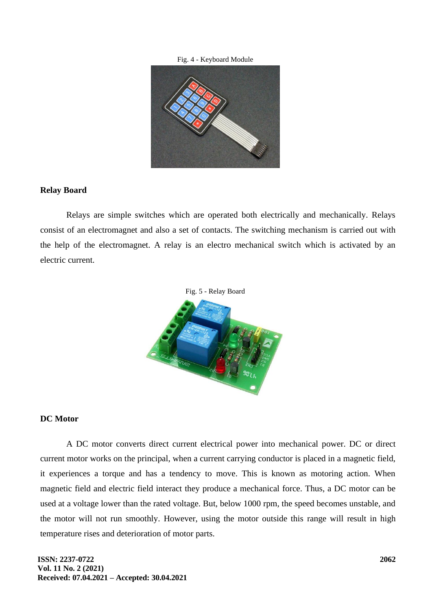#### Fig. 4 - Keyboard Module



#### **Relay Board**

Relays are simple switches which are operated both electrically and mechanically. Relays consist of an electromagnet and also a set of contacts. The switching mechanism is carried out with the help of the electromagnet. A relay is an electro mechanical switch which is activated by an electric current.



#### **DC Motor**

A DC motor converts direct current electrical power into mechanical power. DC or direct current motor works on the principal, when a current carrying conductor is placed in a magnetic field, it experiences a torque and has a tendency to move. This is known as motoring action. When magnetic field and electric field interact they produce a mechanical force. Thus, a DC motor can be used at a voltage lower than the rated voltage. But, below 1000 rpm, the speed becomes unstable, and the motor will not run smoothly. However, using the motor outside this range will result in high temperature rises and deterioration of motor parts.

**ISSN: 2237-0722 Vol. 11 No. 2 (2021) Received: 07.04.2021 – Accepted: 30.04.2021**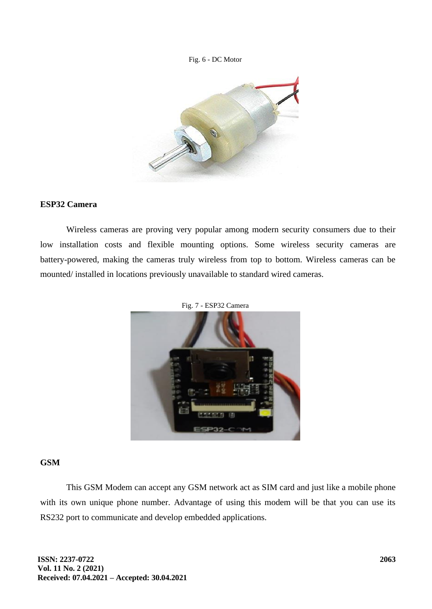#### Fig. 6 - DC Motor



## **ESP32 Camera**

Wireless cameras are proving very popular among modern security consumers due to their low installation costs and flexible mounting options. Some wireless security cameras are battery-powered, making the cameras truly wireless from top to bottom. Wireless cameras can be mounted/ installed in locations previously unavailable to standard wired cameras.





### **GSM**

This GSM Modem can accept any GSM network act as SIM card and just like a mobile phone with its own unique phone number. Advantage of using this modem will be that you can use its RS232 port to communicate and develop embedded applications.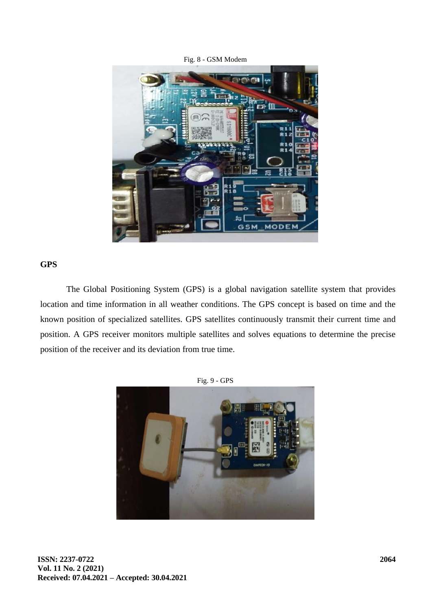Fig. 8 - GSM Modem



### **GPS**

The Global Positioning System (GPS) is a global navigation satellite system that provides location and time information in all weather conditions. The GPS concept is based on time and the known position of specialized satellites. GPS satellites continuously transmit their current time and position. A GPS receiver monitors multiple satellites and solves equations to determine the precise position of the receiver and its deviation from true time.



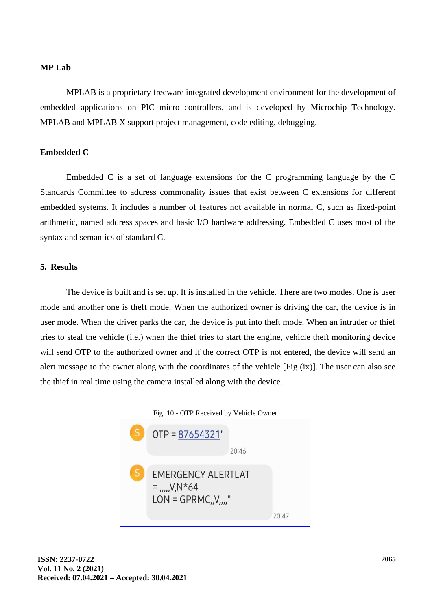## **MP Lab**

MPLAB is a proprietary freeware integrated development environment for the development of embedded applications on PIC micro controllers, and is developed by Microchip Technology. MPLAB and MPLAB X support project management, code editing, debugging.

### **Embedded C**

Embedded C is a set of language extensions for the C programming language by the C Standards Committee to address commonality issues that exist between C extensions for different embedded systems. It includes a number of features not available in normal C, such as fixed-point arithmetic, named address spaces and basic I/O hardware addressing. Embedded C uses most of the syntax and semantics of standard C.

## **5. Results**

The device is built and is set up. It is installed in the vehicle. There are two modes. One is user mode and another one is theft mode. When the authorized owner is driving the car, the device is in user mode. When the driver parks the car, the device is put into theft mode. When an intruder or thief tries to steal the vehicle (i.e.) when the thief tries to start the engine, vehicle theft monitoring device will send OTP to the authorized owner and if the correct OTP is not entered, the device will send an alert message to the owner along with the coordinates of the vehicle [Fig (ix)]. The user can also see the thief in real time using the camera installed along with the device.

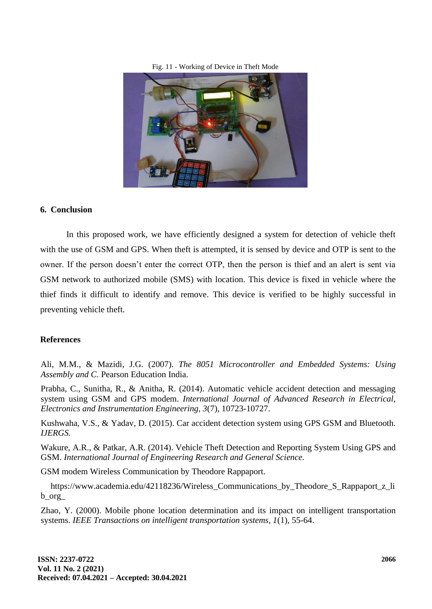#### Fig. 11 - Working of Device in Theft Mode



## **6. Conclusion**

In this proposed work, we have efficiently designed a system for detection of vehicle theft with the use of GSM and GPS. When theft is attempted, it is sensed by device and OTP is sent to the owner. If the person doesn't enter the correct OTP, then the person is thief and an alert is sent via GSM network to authorized mobile (SMS) with location. This device is fixed in vehicle where the thief finds it difficult to identify and remove. This device is verified to be highly successful in preventing vehicle theft.

#### **References**

Ali, M.M., & Mazidi, J.G. (2007). *The 8051 Microcontroller and Embedded Systems: Using Assembly and C.* Pearson Education India.

Prabha, C., Sunitha, R., & Anitha, R. (2014). Automatic vehicle accident detection and messaging system using GSM and GPS modem. *International Journal of Advanced Research in Electrical, Electronics and Instrumentation Engineering, 3*(7), 10723-10727.

Kushwaha, V.S., & Yadav, D. (2015). Car accident detection system using GPS GSM and Bluetooth. *IJERGS.*

Wakure, A.R., & Patkar, A.R. (2014). Vehicle Theft Detection and Reporting System Using GPS and GSM. *International Journal of Engineering Research and General Science.*

GSM modem Wireless Communication by Theodore Rappaport.

https://www.academia.edu/42118236/Wireless\_Communications\_by\_Theodore\_S\_Rappaport\_z\_li b\_org\_

Zhao, Y. (2000). Mobile phone location determination and its impact on intelligent transportation systems. *IEEE Transactions on intelligent transportation systems, 1*(1), 55-64.